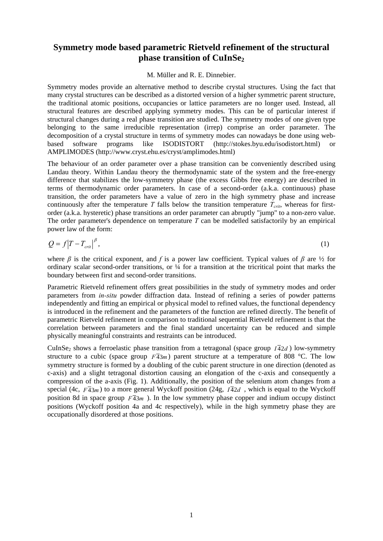## **Symmetry mode based parametric Rietveld refinement of the structural**  phase transition of CuInSe<sub>2</sub>

## M. Müller and R. E. Dinnebier.

Symmetry modes provide an alternative method to describe crystal structures. Using the fact that many crystal structures can be described as a distorted version of a higher symmetric parent structure, the traditional atomic positions, occupancies or lattice parameters are no longer used. Instead, all structural features are described applying symmetry modes. This can be of particular interest if structural changes during a real phase transition are studied. The symmetry modes of one given type belonging to the same irreducible representation (irrep) comprise an order parameter. The decomposition of a crystal structure in terms of symmetry modes can nowadays be done using webbased software programs like ISODISTORT (http://stokes.byu.edu/isodistort.html) or AMPLIMODES (http://www.cryst.ehu.es/cryst/amplimodes.html)

The behaviour of an order parameter over a phase transition can be conveniently described using Landau theory. Within Landau theory the thermodynamic state of the system and the free-energy difference that stabilizes the low-symmetry phase (the excess Gibbs free energy) are described in terms of thermodynamic order parameters. In case of a second-order (a.k.a. continuous) phase transition, the order parameters have a value of zero in the high symmetry phase and increase continuously after the temperature *T* falls below the transition temperature  $T_{crit}$ , whereas for firstorder (a.k.a. hysteretic) phase transitions an order parameter can abruptly "jump" to a non-zero value. The order parameter's dependence on temperature *T* can be modelled satisfactorily by an empirical power law of the form:

$$
Q = f|T - T_{crit}|^{\beta},\tag{1}
$$

where  $\beta$  is the critical exponent, and f is a power law coefficient. Typical values of  $\beta$  are  $\frac{1}{2}$  for ordinary scalar second-order transitions, or ¼ for a transition at the tricritical point that marks the boundary between first and second-order transitions.

Parametric Rietveld refinement offers great possibilities in the study of symmetry modes and order parameters from *in-situ* powder diffraction data. Instead of refining a series of powder patterns independently and fitting an empirical or physical model to refined values, the functional dependency is introduced in the refinement and the parameters of the function are refined directly. The benefit of parametric Rietveld refinement in comparison to traditional sequential Rietveld refinement is that the correlation between parameters and the final standard uncertainty can be reduced and simple physically meaningful constraints and restraints can be introduced.

CuInSe<sub>2</sub> shows a ferroelastic phase transition from a tetragonal (space group  $I\overline{4}2d$ ) low-symmetry structure to a cubic (space group  $F\overline{4}3m$ ) parent structure at a temperature of 808 °C. The low symmetry structure is formed by a doubling of the cubic parent structure in one direction (denoted as c-axis) and a slight tetragonal distortion causing an elongation of the c-axis and consequently a compression of the a-axis (Fig. 1). Additionally, the position of the selenium atom changes from a special (4c,  $F\overline{4}3m$ ) to a more general Wyckoff position (24g,  $I\overline{4}2d$ , which is equal to the Wyckoff position 8d in space group  $F\overline{4}3m$ ). In the low symmetry phase copper and indium occupy distinct positions (Wyckoff position 4a and 4c respectively), while in the high symmetry phase they are occupationally disordered at those positions.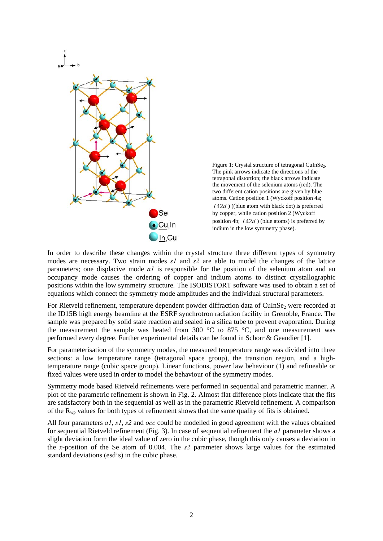

Figure 1: Crystal structure of tetragonal CuInSe<sub>2</sub>. The pink arrows indicate the directions of the tetragonal distortion; the black arrows indicate the movement of the selenium atoms (red). The two different cation positions are given by blue atoms. Cation position 1 (Wyckoff position 4a;  $I\overline{4}2d$ ) ((blue atom with black dot) is preferred by copper, while cation position 2 (Wyckoff position 4b;  $I\overline{4}2d$  ) (blue atoms) is preferred by indium in the low symmetry phase).

In order to describe these changes within the crystal structure three different types of symmetry modes are necessary. Two strain modes *s1* and *s2* are able to model the changes of the lattice parameters; one displacive mode *a1* is responsible for the position of the selenium atom and an occupancy mode causes the ordering of copper and indium atoms to distinct crystallographic positions within the low symmetry structure. The ISODISTORT software was used to obtain a set of equations which connect the symmetry mode amplitudes and the individual structural parameters.

For Rietveld refinement, temperature dependent powder diffraction data of CuInSe<sub>2</sub> were recorded at the ID15B high energy beamline at the ESRF synchrotron radiation facility in Grenoble, France. The sample was prepared by solid state reaction and sealed in a silica tube to prevent evaporation. During the measurement the sample was heated from 300  $\degree$ C to 875  $\degree$ C, and one measurement was performed every degree. Further experimental details can be found in Schorr & Geandier [1].

For parameterisation of the symmetry modes, the measured temperature range was divided into three sections: a low temperature range (tetragonal space group), the transition region, and a hightemperature range (cubic space group). Linear functions, power law behaviour (1) and refineable or fixed values were used in order to model the behaviour of the symmetry modes.

Symmetry mode based Rietveld refinements were performed in sequential and parametric manner. A plot of the parametric refinement is shown in Fig. 2. Almost flat difference plots indicate that the fits are satisfactory both in the sequential as well as in the parametric Rietveld refinement. A comparison of the  $R_{wp}$  values for both types of refinement shows that the same quality of fits is obtained.

All four parameters *a1*, *s1*, *s2* and *occ* could be modelled in good agreement with the values obtained for sequential Rietveld refinement (Fig. 3). In case of sequential refinement the *a1* parameter shows a slight deviation form the ideal value of zero in the cubic phase, though this only causes a deviation in the *x*-position of the Se atom of 0.004. The *s2* parameter shows large values for the estimated standard deviations (esd's) in the cubic phase.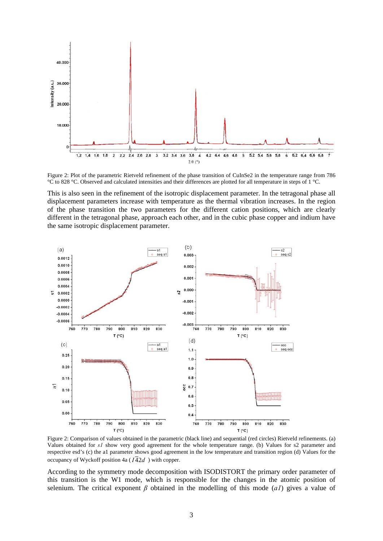

Figure 2: Plot of the parametric Rietveld refinement of the phase transition of CuInSe2 in the temperature range from 786 °C to 828 °C. Observed and calculated intensities and their differences are plotted for all temperature in steps of 1 °C.

This is also seen in the refinement of the isotropic displacement parameter. In the tetragonal phase all displacement parameters increase with temperature as the thermal vibration increases. In the region of the phase transition the two parameters for the different cation positions, which are clearly different in the tetragonal phase, approach each other, and in the cubic phase copper and indium have the same isotropic displacement parameter.



Figure 2: Comparison of values obtained in the parametric (black line) and sequential (red circles) Rietveld refinements. (a) Values obtained for *s1* show very good agreement for the whole temperature range. (b) Values for s2 parameter and respective esd's (c) the a1 parameter shows good agreement in the low temperature and transition region (d) Values for the occupancy of Wyckoff position 4a ( $I\overline{4}2d$ ) with copper.

According to the symmetry mode decomposition with ISODISTORT the primary order parameter of this transition is the W1 mode, which is responsible for the changes in the atomic position of selenium. The critical exponent  $\beta$  obtained in the modelling of this mode (*a1*) gives a value of